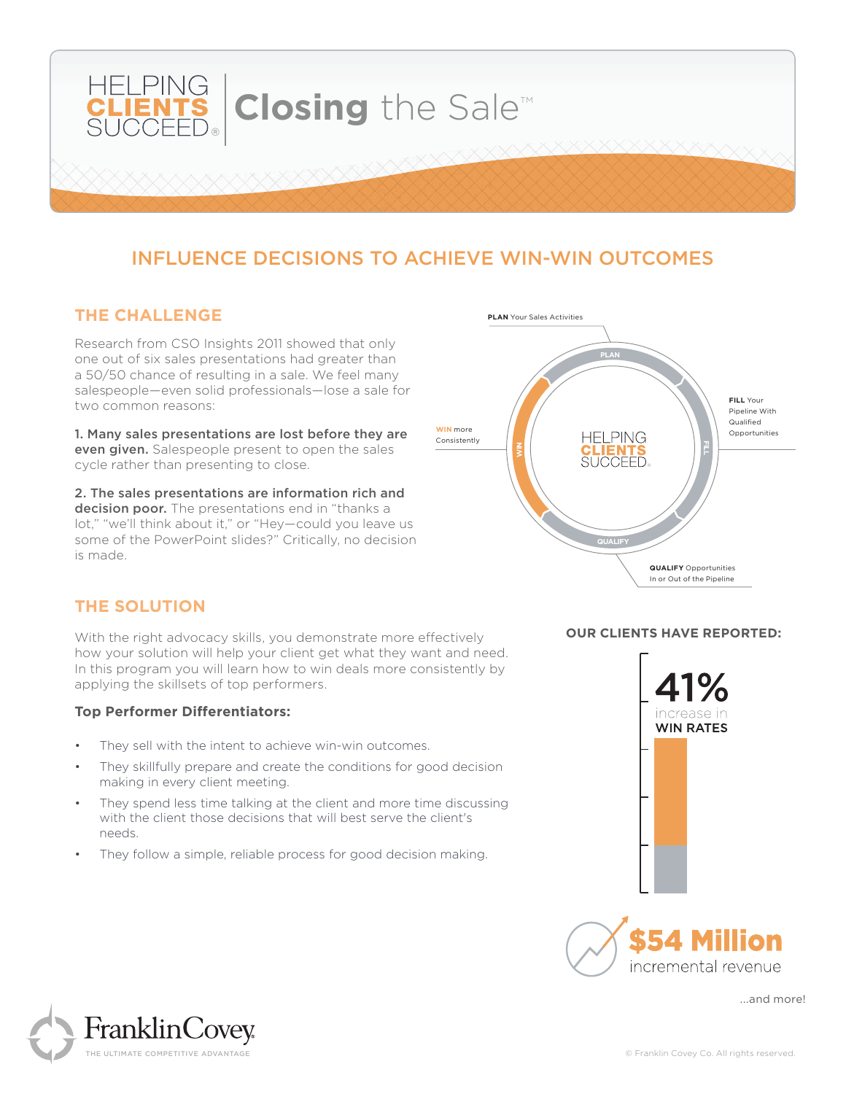

# INFLUENCE DECISIONS TO ACHIEVE WIN-WIN OUTCOMES

#### **THE CHALLENGE**

Research from CSO Insights 2011 showed that only one out of six sales presentations had greater than a 50/50 chance of resulting in a sale. We feel many salespeople—even solid professionals—lose a sale for two common reasons:

1. Many sales presentations are lost before they are even given. Salespeople present to open the sales cycle rather than presenting to close.

2. The sales presentations are information rich and decision poor. The presentations end in "thanks a lot," "we'll think about it," or "Hey—could you leave us some of the PowerPoint slides?" Critically, no decision is made.



## **THE SOLUTION**

With the right advocacy skills, you demonstrate more effectively how your solution will help your client get what they want and need. In this program you will learn how to win deals more consistently by applying the skillsets of top performers.

#### **Top Performer Differentiators:**

- They sell with the intent to achieve win-win outcomes.
- They skillfully prepare and create the conditions for good decision making in every client meeting.
- They spend less time talking at the client and more time discussing with the client those decisions that will best serve the client's needs.
- They follow a simple, reliable process for good decision making.



**OUR CLIENTS HAVE REPORTED:**



...and more!